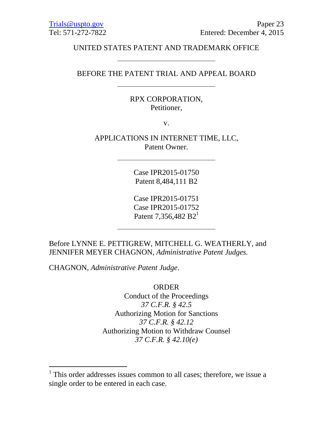## UNITED STATES PATENT AND TRADEMARK OFFICE

#### BEFORE THE PATENT TRIAL AND APPEAL BOARD

## RPX CORPORATION, Petitioner,

v.

APPLICATIONS IN INTERNET TIME, LLC, Patent Owner.

> Case IPR2015-01750 Patent 8,484,111 B2

Case IPR2015-01751 Case IPR2015-01752 Patent 7,356,482  $B2<sup>1</sup>$ 

Before LYNNE E. PETTIGREW, MITCHELL G. WEATHERLY, and JENNIFER MEYER CHAGNON, *Administrative Patent Judges.*

CHAGNON, *Administrative Patent Judge*.

 $\overline{a}$ 

ORDER

Conduct of the Proceedings *37 C.F.R. § 42.5* Authorizing Motion for Sanctions *37 C.F.R. § 42.12* Authorizing Motion to Withdraw Counsel *37 C.F.R. § 42.10(e)*

<sup>&</sup>lt;sup>1</sup> This order addresses issues common to all cases; therefore, we issue a single order to be entered in each case.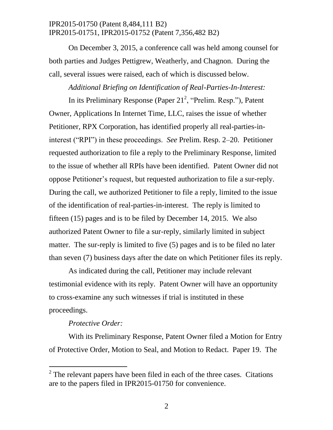On December 3, 2015, a conference call was held among counsel for both parties and Judges Pettigrew, Weatherly, and Chagnon. During the call, several issues were raised, each of which is discussed below.

#### *Additional Briefing on Identification of Real-Parties-In-Interest:*

In its Preliminary Response (Paper  $21^2$ , "Prelim. Resp."), Patent Owner, Applications In Internet Time, LLC, raises the issue of whether Petitioner, RPX Corporation, has identified properly all real-parties-ininterest ("RPI") in these proceedings. *See* Prelim. Resp. 2–20. Petitioner requested authorization to file a reply to the Preliminary Response, limited to the issue of whether all RPIs have been identified. Patent Owner did not oppose Petitioner's request, but requested authorization to file a sur-reply. During the call, we authorized Petitioner to file a reply, limited to the issue of the identification of real-parties-in-interest. The reply is limited to fifteen (15) pages and is to be filed by December 14, 2015. We also authorized Patent Owner to file a sur-reply, similarly limited in subject matter. The sur-reply is limited to five (5) pages and is to be filed no later than seven (7) business days after the date on which Petitioner files its reply.

As indicated during the call, Petitioner may include relevant testimonial evidence with its reply. Patent Owner will have an opportunity to cross-examine any such witnesses if trial is instituted in these proceedings.

#### *Protective Order:*

 $\overline{a}$ 

With its Preliminary Response, Patent Owner filed a Motion for Entry of Protective Order, Motion to Seal, and Motion to Redact. Paper 19. The

 $2^2$  The relevant papers have been filed in each of the three cases. Citations are to the papers filed in IPR2015-01750 for convenience.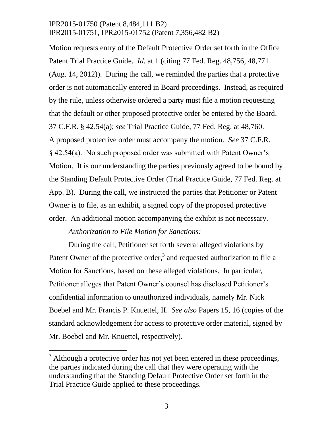Motion requests entry of the Default Protective Order set forth in the Office Patent Trial Practice Guide. *Id.* at 1 (citing 77 Fed. Reg. 48,756, 48,771 (Aug. 14, 2012)). During the call, we reminded the parties that a protective order is not automatically entered in Board proceedings. Instead, as required by the rule, unless otherwise ordered a party must file a motion requesting that the default or other proposed protective order be entered by the Board. 37 C.F.R. § 42.54(a); *see* Trial Practice Guide, 77 Fed. Reg. at 48,760. A proposed protective order must accompany the motion. *See* 37 C.F.R. § 42.54(a). No such proposed order was submitted with Patent Owner's Motion. It is our understanding the parties previously agreed to be bound by the Standing Default Protective Order (Trial Practice Guide, 77 Fed. Reg. at App. B). During the call, we instructed the parties that Petitioner or Patent Owner is to file, as an exhibit, a signed copy of the proposed protective order. An additional motion accompanying the exhibit is not necessary.

#### *Authorization to File Motion for Sanctions:*

 $\overline{a}$ 

During the call, Petitioner set forth several alleged violations by Patent Owner of the protective order,<sup>3</sup> and requested authorization to file a Motion for Sanctions, based on these alleged violations. In particular, Petitioner alleges that Patent Owner's counsel has disclosed Petitioner's confidential information to unauthorized individuals, namely Mr. Nick Boebel and Mr. Francis P. Knuettel, II. *See also* Papers 15, 16 (copies of the standard acknowledgement for access to protective order material, signed by Mr. Boebel and Mr. Knuettel, respectively).

 $3$  Although a protective order has not yet been entered in these proceedings, the parties indicated during the call that they were operating with the understanding that the Standing Default Protective Order set forth in the Trial Practice Guide applied to these proceedings.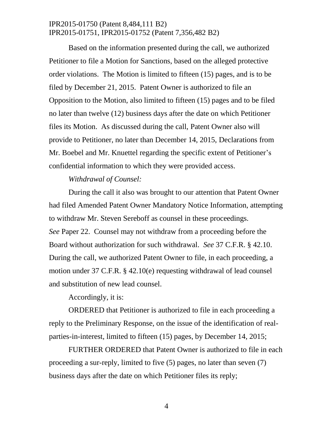Based on the information presented during the call, we authorized Petitioner to file a Motion for Sanctions, based on the alleged protective order violations. The Motion is limited to fifteen (15) pages, and is to be filed by December 21, 2015. Patent Owner is authorized to file an Opposition to the Motion, also limited to fifteen (15) pages and to be filed no later than twelve (12) business days after the date on which Petitioner files its Motion. As discussed during the call, Patent Owner also will provide to Petitioner, no later than December 14, 2015, Declarations from Mr. Boebel and Mr. Knuettel regarding the specific extent of Petitioner's confidential information to which they were provided access.

### *Withdrawal of Counsel:*

During the call it also was brought to our attention that Patent Owner had filed Amended Patent Owner Mandatory Notice Information, attempting to withdraw Mr. Steven Sereboff as counsel in these proceedings. *See* Paper 22. Counsel may not withdraw from a proceeding before the Board without authorization for such withdrawal. *See* 37 C.F.R. § 42.10. During the call, we authorized Patent Owner to file, in each proceeding, a motion under 37 C.F.R. § 42.10(e) requesting withdrawal of lead counsel and substitution of new lead counsel.

Accordingly, it is:

ORDERED that Petitioner is authorized to file in each proceeding a reply to the Preliminary Response, on the issue of the identification of realparties-in-interest, limited to fifteen (15) pages, by December 14, 2015;

FURTHER ORDERED that Patent Owner is authorized to file in each proceeding a sur-reply, limited to five (5) pages, no later than seven (7) business days after the date on which Petitioner files its reply;

4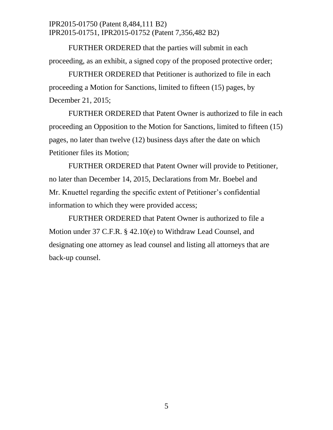FURTHER ORDERED that the parties will submit in each proceeding, as an exhibit, a signed copy of the proposed protective order;

FURTHER ORDERED that Petitioner is authorized to file in each proceeding a Motion for Sanctions, limited to fifteen (15) pages, by December 21, 2015;

FURTHER ORDERED that Patent Owner is authorized to file in each proceeding an Opposition to the Motion for Sanctions, limited to fifteen (15) pages, no later than twelve (12) business days after the date on which Petitioner files its Motion;

FURTHER ORDERED that Patent Owner will provide to Petitioner, no later than December 14, 2015, Declarations from Mr. Boebel and Mr. Knuettel regarding the specific extent of Petitioner's confidential information to which they were provided access;

FURTHER ORDERED that Patent Owner is authorized to file a Motion under 37 C.F.R. § 42.10(e) to Withdraw Lead Counsel, and designating one attorney as lead counsel and listing all attorneys that are back-up counsel.